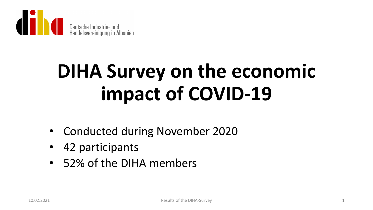

# **DIHA Survey on the economic impact of COVID-19**

- Conducted during November 2020
- 42 participants
- 52% of the DIHA members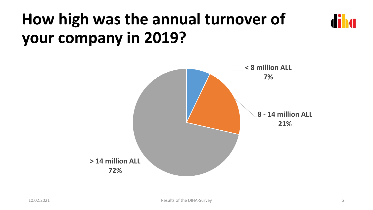## **How high was the annual turnover of your company in 2019?**

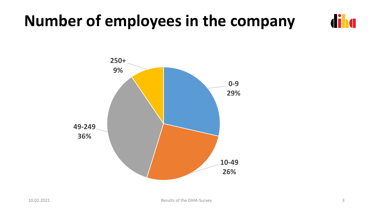### **Number of employees in the company**



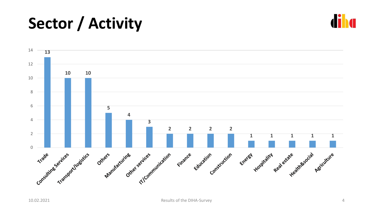## **Sector / Activity**



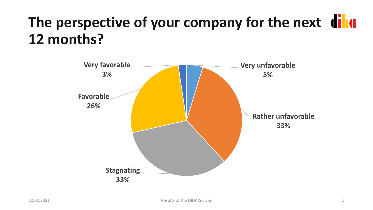### **The perspective of your company for the next 12 months?**

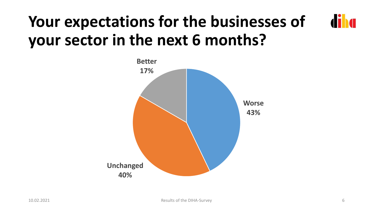#### diha **Your expectations for the businesses of your sector in the next 6 months?**

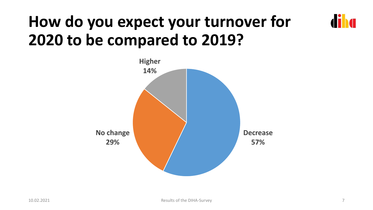## **How do you expect your turnover for 2020 to be compared to 2019?**

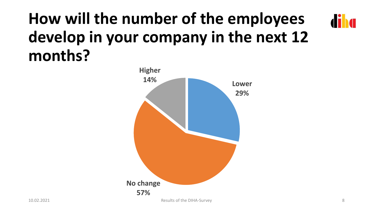## **How will the number of the employees develop in your company in the next 12 months?**



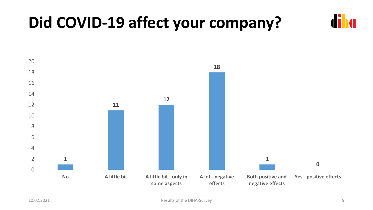### **Did COVID-19 affect your company?**

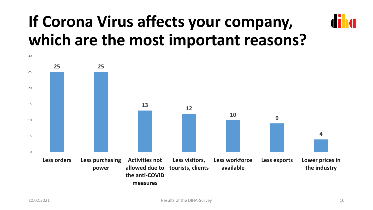## **If Corona Virus affects your company, which are the most important reasons?**

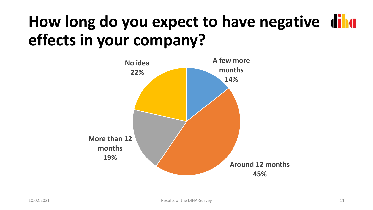## **How long do you expect to have negative effects in your company?**

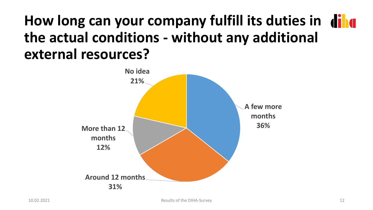#### **How long can your company fulfill its duties in the actual conditions - without any additional external resources?**

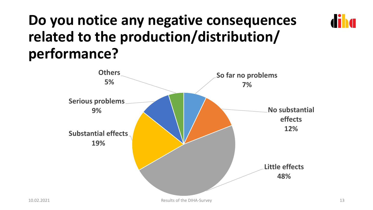#### **Do you notice any negative consequences related to the production/distribution/ performance?**

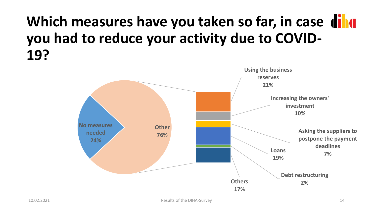#### **Which measures have you taken so far, in case you had to reduce your activity due to COVID-19?**

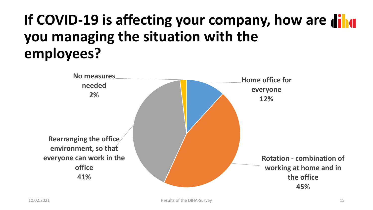### If COVID-19 is affecting your company, how are **dilate you managing the situation with the employees?**

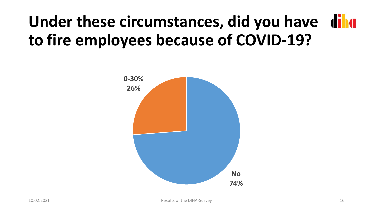## **Under these circumstances, did you have to fire employees because of COVID-19?**

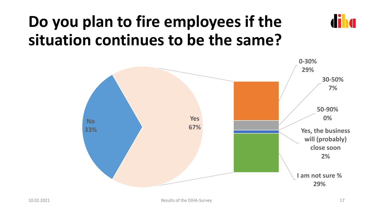### **Do you plan to fire employees if the situation continues to be the same?**

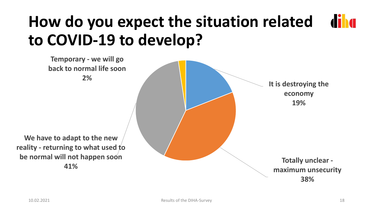#### **How do you expect the situation related diha to COVID-19 to develop?**

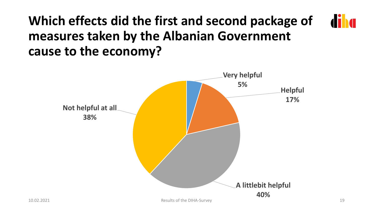#### **diha Which effects did the first and second package of measures taken by the Albanian Government cause to the economy?**

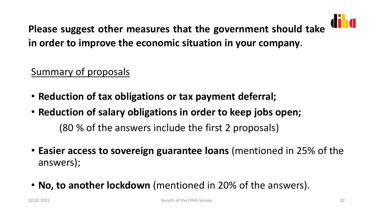

**Please suggest other measures that the government should take in order to improve the economic situation in your company**.

Summary of proposals

- **Reduction of tax obligations or tax payment deferral;**
- **Reduction of salary obligations in order to keep jobs open;** (80 % of the answers include the first 2 proposals)
- **Easier access to sovereign guarantee loans** (mentioned in 25% of the answers);
- **No, to another lockdown** (mentioned in 20% of the answers).